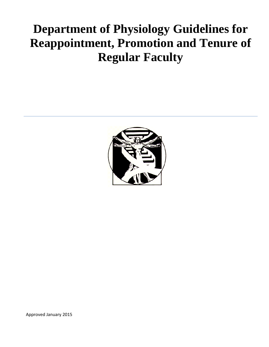# **Department of Physiology Guidelines for Reappointment, Promotion and Tenure of Regular Faculty**



Approved January 2015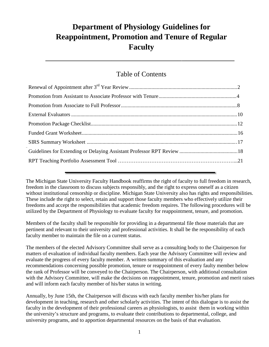# **Department of Physiology Guidelines for Reappointment, Promotion and Tenure of Regular Faculty**

### Table of Contents

 $\mathcal{L}=\{1,2,3,4,5\}$  , we can assume that  $\mathcal{L}=\{1,2,3,4,5\}$  , we can assume that  $\mathcal{L}=\{1,2,3,4,5\}$ 

The Michigan State University Faculty Handbook reaffirms the right of faculty to full freedom in research, freedom in the classroom to discuss subjects responsibly, and the right to express oneself as a citizen without institutional censorship or discipline. Michigan State University also has rights and responsibilities. These include the right to select, retain and support those faculty members who effectively utilize their freedoms and accept the responsibilities that academic freedom requires. The following procedures will be utilized by the Department of Physiology to evaluate faculty for reappointment, tenure, and promotion.

Members of the faculty shall be responsible for providing in a departmental file those materials that are pertinent and relevant to their university and professional activities. It shall be the responsibility of each faculty member to maintain the file on a current status.

The members of the elected Advisory Committee shall serve as a consulting body to the Chairperson for matters of evaluation of individual faculty members. Each year the Advisory Committee will review and evaluate the progress of every faculty member. A written summary of this evaluation and any recommendations concerning possible promotion, tenure or reappointment of every faulty member below the rank of Professor will be conveyed to the Chairperson. The Chairperson, with additional consultation with the Advisory Committee, will make the decisions on reappointment, tenure, promotion and merit raises and will inform each faculty member of his/her status in writing.

Annually, by June 15th, the Chairperson will discuss with each faculty member his/her plans for development in teaching, research and other scholarly activities. The intent of this dialogue is to assist the faculty in the development of their professional careers as physiologists, to assist them in working within the university's structure and programs, to evaluate their contributions to departmental, college, and university programs, and to apportion departmental resources on the basis of that evaluation.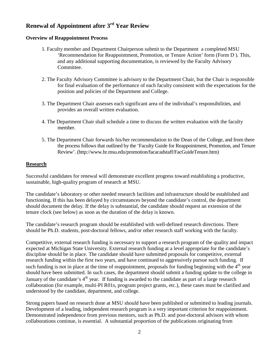## **Renewal of Appointment after 3rd Year Review**

#### **Overview of Reappointment Process**

- 1. Faculty member and Department Chairperson submit to the Department a completed MSU 'Recommendation for Reappointment, Promotion, or Tenure Action' form (Form D ). This, and any additional supporting documentation, is reviewed by the Faculty Advisory Committee.
- 2. The Faculty Advisory Committee is advisory to the Department Chair, but the Chair is responsible for final evaluation of the performance of each faculty consistent with the expectations for the position and policies of the Department and College.
- 3. The Department Chair assesses each significant area of the individual's responsibilities, and provides an overall written evaluation.
- 4. The Department Chair shall schedule a time to discuss the written evaluation with the faculty member.
- 5. The Department Chair forwards his/her recommendation to the Dean of the College, and from there the process follows that outlined by the 'Faculty Guide for Reappointment, Promotion, and Tenure Review'. (http://www.hr.msu.edu/promotion/facacadstaff/FacGuideTenure.htm)

#### **Research**

Successful candidates for renewal will demonstrate excellent progress toward establishing a productive, sustainable, high-quality program of research at MSU.

The candidate's laboratory or other needed research facilities and infrastructure should be established and functioning. If this has been delayed by circumstances beyond the candidate's control, the department should document the delay. If the delay is substantial, the candidate should request an extension of the tenure clock (see below) as soon as the duration of the delay is known.

The candidate's research program should be established with well-defined research directions. There should be Ph.D. students, post-doctoral fellows, and/or other research staff working with the faculty.

Competitive, external research funding is necessary to support a research program of the quality and impact expected at Michigan State University. External research funding at a level appropriate for the candidate's discipline should be in place. The candidate should have submitted proposals for competitive, external research funding within the first two years, and have continued to aggressively pursue such funding. If such funding is not in place at the time of reappointment, proposals for funding beginning with the  $4<sup>th</sup>$  year should have been submitted. In such cases, the department should submit a funding update to the college in January of the candidate's 4<sup>th</sup> year. If funding is awarded to the candidate as part of a large research collaboration (for example, multi-PI R01s, program project grants, etc.), these cases must be clarified and understood by the candidate, department, and college.

Strong papers based on research done at MSU should have been published or submitted to leading journals. Development of a leading, independent research program is a very important criterion for reappointment. Demonstrated independence from previous mentors, such as Ph.D. and post-doctoral advisors with whom collaborations continue, is essential. A substantial proportion of the publications originating from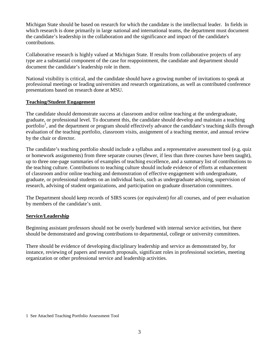Michigan State should be based on research for which the candidate is the intellectual leader. In fields in which research is done primarily in large national and international teams, the department must document the candidate's leadership in the collaboration and the significance and impact of the candidate's contributions.

Collaborative research is highly valued at Michigan State. If results from collaborative projects of any type are a substantial component of the case for reappointment, the candidate and department should document the candidate's leadership role in them.

National visibility is critical, and the candidate should have a growing number of invitations to speak at professional meetings or leading universities and research organizations, as well as contributed conference presentations based on research done at MSU.

#### **Teaching/Student Engagement**

The candidate should demonstrate success at classroom and/or online teaching at the undergraduate, graduate, or professional level. To document this, the candidate should develop and maintain a teaching portfolio<sup>1</sup>, and the department or program should effectively advance the candidate's teaching skills through evaluation of the teaching portfolio, classroom visits, assignment of a teaching mentor, and annual review by the chair or director.

The candidate's teaching portfolio should include a syllabus and a representative assessment tool (e.g. quiz or homework assignments) from three separate courses (fewer, if less than three courses have been taught), up to three one-page summaries of examples of teaching excellence, and a summary list of contributions to the teaching culture. Contributions to teaching culture should include evidence of efforts at enhancement of classroom and/or online teaching and demonstration of effective engagement with undergraduate, graduate, or professional students on an individual basis, such as undergraduate advising, supervision of research, advising of student organizations, and participation on graduate dissertation committees.

The Department should keep records of SIRS scores (or equivalent) for all courses, and of peer evaluation by members of the candidate's unit.

#### **Service/Leadership**

Beginning assistant professors should not be overly burdened with internal service activities, but there should be demonstrated and growing contributions to departmental, college or university committees.

There should be evidence of developing disciplinary leadership and service as demonstrated by, for instance, reviewing of papers and research proposals, significant roles in professional societies, meeting organization or other professional service and leadership activities.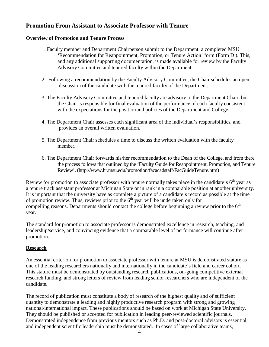#### **Promotion From Assistant to Associate Professor with Tenure**

#### **Overview of Promotion and Tenure Process**

- 1. Faculty member and Department Chairperson submit to the Department a completed MSU 'Recommendation for Reappointment, Promotion, or Tenure Action' form (Form D ). This, and any additional supporting documentation, is made available for review by the Faculty Advisory Committee and tenured faculty within the Department.
- 2. Following a recommendation by the Faculty Advisory Committee, the Chair schedules an open discussion of the candidate with the tenured faculty of the Department.
- 3. The Faculty Advisory Committee and tenured faculty are advisory to the Department Chair, but the Chair is responsible for final evaluation of the performance of each faculty consistent with the expectations for the position and policies of the Department and College.
- 4. The Department Chair assesses each significant area of the individual's responsibilities, and provides an overall written evaluation.
- 5. The Department Chair schedules a time to discuss the written evaluation with the faculty member.
- 6. The Department Chair forwards his/her recommendation to the Dean of the College, and from there the process follows that outlined by the 'Faculty Guide for Reappointment, Promotion, and Tenure Review'. (http://www.hr.msu.edu/promotion/facacadstaff/FacGuideTenure.htm)

Review for promotion to associate professor with tenure normally takes place in the candidate's  $6<sup>th</sup>$  year as a tenure track assistant professor at Michigan State or in rank in a comparable position at another university. It is important that the university have as complete a picture of a candidate's record as possible at the time of promotion review. Thus, reviews prior to the  $6<sup>th</sup>$  year will be undertaken only for compelling reasons. Departments should contact the college before beginning a review prior to the  $6<sup>th</sup>$ year.

The standard for promotion to associate professor is demonstrated excellence in research, teaching, and leadership/service, and convincing evidence that a comparable level of performance will continue after promotion.

#### **Research**

An essential criterion for promotion to associate professor with tenure at MSU is demonstrated stature as one of the leading researchers nationally and internationally in the candidate's field and career cohort. This stature must be demonstrated by outstanding research publications, on-going competitive external research funding, and strong letters of review from leading senior researchers who are independent of the candidate.

The record of publication must constitute a body of research of the highest quality and of sufficient quantity to demonstrate a leading and highly productive research program with strong and growing national/international impact. These publications should be based on work at Michigan State University. They should be published or accepted for publication in leading peer-reviewed scientific journals. Demonstrated independence from previous mentors such as Ph.D. and post-doctoral advisors is essential, and independent scientific leadership must be demonstrated. In cases of large collaborative teams,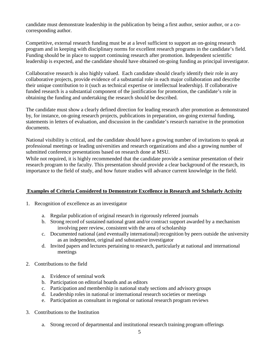candidate must demonstrate leadership in the publication by being a first author, senior author, or a cocorresponding author.

Competitive, external research funding must be at a level sufficient to support an on-going research program and in keeping with disciplinary norms for excellent research programs in the candidate's field. Funding should be in place to support continuing research after promotion. Independent scientific leadership is expected, and the candidate should have obtained on-going funding as principal investigator.

Collaborative research is also highly valued. Each candidate should clearly identify their role in any collaborative projects, provide evidence of a substantial role in each major collaboration and describe their unique contribution to it (such as technical expertise or intellectual leadership). If collaborative funded research is a substantial component of the justification for promotion, the candidate's role in obtaining the funding and undertaking the research should be described.

The candidate must show a clearly defined direction for leading research after promotion as demonstrated by, for instance, on-going research projects, publications in preparation, on-going external funding, statements in letters of evaluation, and discussion in the candidate's research narrative in the promotion documents.

National visibility is critical, and the candidate should have a growing number of invitations to speak at professional meetings or leading universities and research organizations and also a growing number of submitted conference presentations based on research done at MSU.

While not required, it is highly recommended that the candidate provide a seminar presentation of their research program to the faculty. This presentation should provide a clear background of the research, its importance to the field of study, and how future studies will advance current knowledge in the field.

#### **Examples of Criteria Considered to Demonstrate Excellence in Research and Scholarly Activity**

- 1. Recognition of excellence as an investigator
	- a. Regular publication of original research in rigorously refereed journals
	- b. Strong record of sustained national grant and/or contract support awarded by a mechanism involving peer review, consistent with the area of scholarship
	- c. Documented national (and eventually international) recognition by peers outside the university as an independent, original and substantive investigator
	- d. Invited papers and lectures pertaining to research, particularly at national and international meetings
- 2. Contributions to the field
	- a. Evidence of seminal work
	- b. Participation on editorial boards and as editors
	- c. Participation and membership in national study sections and advisory groups
	- d. Leadership roles in national or international research societies or meetings
	- e. Participation as consultant in regional or national research program reviews
- 3. Contributionsto the Institution
	- a. Strong record of departmental and institutional research training program offerings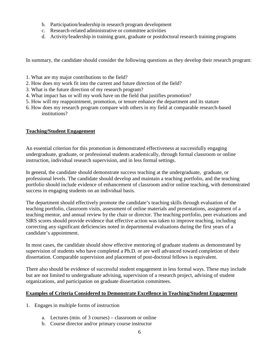- b. Participation/leadership in research program development
- c. Research-related administrative or committee activities
- d. Activity/leadership in training grant, graduate or postdoctoral research training programs

In summary, the candidate should consider the following questions as they develop their research program:

- 1. What are my major contributions to the field?
- 2. How does my work fit into the current and future direction of the field?
- 3. What is the future direction of my research program?
- 4. What impact has or will my work have on the field that justifies promotion?
- 5. How will my reappointment, promotion, or tenure enhance the department and its stature
- 6. How does my research program compare with others in my field at comparable research-based institutions?

#### **Teaching/Student Engagement**

An essential criterion for this promotion is demonstrated effectiveness at successfully engaging undergraduate, graduate, or professional students academically, through formal classroom or online instruction, individual research supervision, and in less formal settings.

In general, the candidate should demonstrate success teaching at the undergraduate, graduate, or professional levels. The candidate should develop and maintain a teaching portfolio, and the teaching portfolio should include evidence of enhancement of classroom and/or online teaching, with demonstrated success in engaging students on an individual basis.

The department should effectively promote the candidate's teaching skills through evaluation of the teaching portfolio, classroom visits, assessment of online materials and presentations, assignment of a teaching mentor, and annual review by the chair or director. The teaching portfolio, peer evaluations and SIRS scores should provide evidence that effective action was taken to improve teaching, including correcting any significant deficiencies noted in departmental evaluations during the first years of a candidate's appointment.

In most cases, the candidate should show effective mentoring of graduate students as demonstrated by supervision of students who have completed a Ph.D. or are well advanced toward completion of their dissertation. Comparable supervision and placement of post-doctoral fellows is equivalent.

There also should be evidence of successful student engagement in less formal ways. These may include but are not limited to undergraduate advising, supervision of a research project, advising of student organizations, and participation on graduate dissertation committees.

#### **Examples of Criteria Considered to Demonstrate Excellence in Teaching/Student Engagement**

- 1. Engages in multiple forms of instruction
	- a. Lectures (min. of 3 courses) classroom or online
	- b. Course director and/or primary course instructor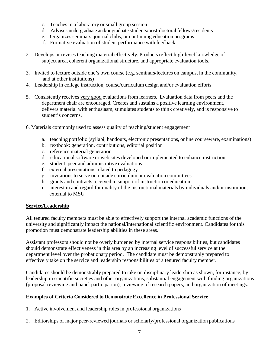- c. Teaches in a laboratory or small group session
- d. Advises undergraduate and/or graduate students/post-doctoral fellows/residents
- e. Organizes seminars, journal clubs, or continuing education programs
- f. Formative evaluation of student performance with feedback
- 2. Develops or revises teaching material effectively. Products reflect high-level knowledge of subject area, coherent organizational structure, and appropriate evaluation tools.
- 3. Invited to lecture outside one's own course (e.g. seminars/lectures on campus, in the community, and at other institutions)
- 4. Leadership in college instruction, course/curriculum design and/or evaluation efforts
- 5. Consistently receives very good evaluations from learners. Evaluation data from peers and the department chair are encouraged. Creates and sustains a positive learning environment, delivers material with enthusiasm, stimulates students to think creatively, and is responsive to student's concerns.
- 6. Materials commonly used to assess quality of teaching/student engagement
	- a. teaching portfolio (syllabi, handouts, electronic presentations, online courseware, examinations)
	- b. textbook: generation, contributions, editorial position
	- c. reference material generation
	- d. educational software or web sites developed or implemented to enhance instruction
	- e. student, peer and administrative evaluations
	- f. external presentations related to pedagogy
	- g. invitations to serve on outside curriculum or evaluation committees
	- h. grants and contracts received in support of instruction or education
	- i. interest in and regard for quality of the instructional materials by individuals and/or institutions external to MSU

#### **Service/Leadership**

All tenured faculty members must be able to effectively support the internal academic functions of the university and significantly impact the national/international scientific environment. Candidates for this promotion must demonstrate leadership abilities in these areas.

Assistant professors should not be overly burdened by internal service responsibilities, but candidates should demonstrate effectiveness in this area by an increasing level of successful service at the department level over the probationary period. The candidate must be demonstrably prepared to effectively take on the service and leadership responsibilities of a tenured faculty member.

Candidates should be demonstrably prepared to take on disciplinary leadership as shown, for instance, by leadership in scientific societies and other organizations, substantial engagement with funding organizations (proposal reviewing and panel participation), reviewing of research papers, and organization of meetings.

#### **Examples of Criteria Considered to Demonstrate Excellence in Professional Service**

- 1. Active involvement and leadership roles in professional organizations
- 2. Editorships of major peer-reviewed journals or scholarly/professional organization publications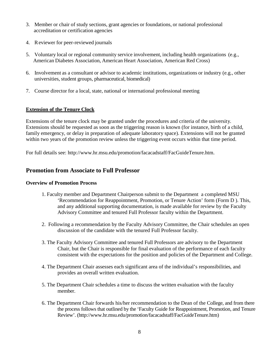- 3. Member or chair of study sections, grant agencies or foundations, or national professional accreditation or certification agencies
- 4. Reviewer for peer-reviewed journals
- 5. Voluntary local or regional community service involvement, including health organizations (e.g., American Diabetes Association, American Heart Association, American Red Cross)
- 6. Involvement as a consultant or advisor to academic institutions, organizations or industry (e.g., other universities, student groups, pharmaceutical, biomedical)
- 7. Course director for a local, state, national or international professional meeting

#### **Extension of the Tenure Clock**

Extensions of the tenure clock may be granted under the procedures and criteria of the university. Extensions should be requested as soon as the triggering reason is known (for instance, birth of a child, family emergency, or delay in preparation of adequate laboratory space). Extensions will not be granted within two years of the promotion review unless the triggering event occurs within that time period.

For full details see: http://www.hr.msu.edu/promotion/facacadstaff/FacGuideTenure.htm.

#### **Promotion from Associate to Full Professor**

#### **Overview of Promotion Process**

- 1. Faculty member and Department Chairperson submit to the Department a completed MSU 'Recommendation for Reappointment, Promotion, or Tenure Action' form (Form D ). This, and any additional supporting documentation, is made available for review by the Faculty Advisory Committee and tenured Full Professor faculty within the Department.
- 2. Following a recommendation by the Faculty Advisory Committee, the Chair schedules an open discussion of the candidate with the tenured Full Professor faculty.
- 3. The Faculty Advisory Committee and tenured Full Professors are advisory to the Department Chair, but the Chair is responsible for final evaluation of the performance of each faculty consistent with the expectations for the position and policies of the Department and College.
- 4. The Department Chair assesses each significant area of the individual's responsibilities, and provides an overall written evaluation.
- 5. The Department Chair schedules a time to discuss the written evaluation with the faculty member.
- 6. The Department Chair forwards his/her recommendation to the Dean of the College, and from there the process follows that outlined by the 'Faculty Guide for Reappointment, Promotion, and Tenure Review'. (http://www.hr.msu.edu/promotion/facacadstaff/FacGuideTenure.htm)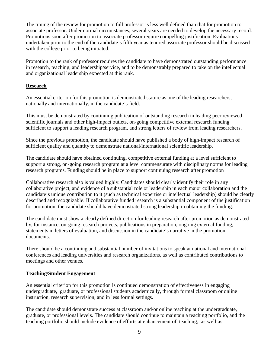The timing of the review for promotion to full professor is less well defined than that for promotion to associate professor. Under normal circumstances, several years are needed to develop the necessary record. Promotions soon after promotion to associate professor require compelling justification. Evaluations undertaken prior to the end of the candidate's fifth year as tenured associate professor should be discussed with the college prior to being initiated.

Promotion to the rank of professor requires the candidate to have demonstrated outstanding performance in research, teaching, and leadership/service, and to be demonstrably prepared to take on the intellectual and organizational leadership expected at this rank.

#### **Research**

An essential criterion for this promotion is demonstrated stature as one of the leading researchers, nationally and internationally, in the candidate's field.

This must be demonstrated by continuing publication of outstanding research in leading peer reviewed scientific journals and other high-impact outlets, on-going competitive external research funding sufficient to support a leading research program, and strong letters of review from leading researchers.

Since the previous promotion, the candidate should have published a body of high-impact research of sufficient quality and quantity to demonstrate national/international scientific leadership.

The candidate should have obtained continuing, competitive external funding at a level sufficient to support a strong, on-going research program at a level commensurate with disciplinary norms for leading research programs. Funding should be in place to support continuing research after promotion

Collaborative research also is valued highly. Candidates should clearly identify their role in any collaborative project, and evidence of a substantial role or leadership in each major collaboration and the candidate's unique contribution to it (such as technical expertise or intellectual leadership) should be clearly described and recognizable. If collaborative funded research is a substantial component of the justification for promotion, the candidate should have demonstrated strong leadership in obtaining the funding.

The candidate must show a clearly defined direction for leading research after promotion as demonstrated by, for instance, on-going research projects, publications in preparation, ongoing external funding, statements in letters of evaluation, and discussion in the candidate's narrative in the promotion documents.

There should be a continuing and substantial number of invitations to speak at national and international conferences and leading universities and research organizations, as well as contributed contributions to meetings and other venues.

#### **Teaching/Student Engagement**

An essential criterion for this promotion is continued demonstration of effectiveness in engaging undergraduate, graduate, or professional students academically, through formal classroom or online instruction, research supervision, and in less formal settings.

The candidate should demonstrate success at classroom and/or online teaching at the undergraduate, graduate, or professional levels. The candidate should continue to maintain a teaching portfolio, and the teaching portfolio should include evidence of efforts at enhancement of teaching, as well as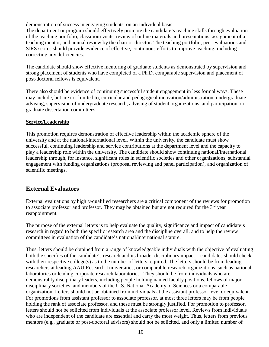demonstration of success in engaging students on an individual basis.

The department or program should effectively promote the candidate's teaching skills through evaluation of the teaching portfolio, classroom visits, review of online materials and presentations, assignment of a teaching mentor, and annual review by the chair or director. The teaching portfolio, peer evaluations and SIRS scores should provide evidence of effective, continuous efforts to improve teaching, including correcting any deficiencies.

The candidate should show effective mentoring of graduate students as demonstrated by supervision and strong placement of students who have completed of a Ph.D. comparable supervision and placement of post-doctoral fellows is equivalent.

There also should be evidence of continuing successful student engagement in less formal ways. These may include, but are not limited to, curricular and pedagogical innovation/administration, undergraduate advising, supervision of undergraduate research, advising of student organizations, and participation on graduate dissertation committees.

#### **Service/Leadership**

This promotion requires demonstration of effective leadership within the academic sphere of the university and at the national/international level. Within the university, the candidate must show successful, continuing leadership and service contributions at the department level and the capacity to play a leadership role within the university. The candidate should show continuing national/international leadership through, for instance, significant roles in scientific societies and other organizations, substantial engagement with funding organizations (proposal reviewing and panel participation), and organization of scientific meetings.

#### **External Evaluators**

External evaluations by highly-qualified researchers are a critical component of the reviews for promotion to associate professor and professor. They may be obtained but are not required for the  $3<sup>rd</sup>$  year reappointment.

The purpose of the external letters is to help evaluate the quality, significance and impact of candidate's research in regard to both the specific research area and the discipline overall, and to help the review committees in evaluation of the candidate's national/international stature.

Thus, letters should be obtained from a range of knowledgeable individuals with the objective of evaluating both the specifics of the candidate's research and its broader disciplinary impact – candidates should check with their respective college(s) as to the number of letters required. The letters should be from leading researchers at leading AAU Research I universities, or comparable research organizations, such as national laboratories or leading corporate research laboratories They should be from individuals who are demonstrably disciplinary leaders, including people holding named faculty positions, fellows of major disciplinary societies, and members of the U.S. National Academy of Sciences or a comparable organization. Letters should not be obtained from individuals at the assistant professor level or equivalent. For promotions from assistant professor to associate professor, at most three letters may be from people holding the rank of associate professor, and these must be strongly justified. For promotion to professor, letters should not be solicited from individuals at the associate professor level. Reviews from individuals who are independent of the candidate are essential and carry the most weight. Thus, letters from previous mentors (e.g., graduate or post-doctoral advisors) should not be solicited, and only a limited number of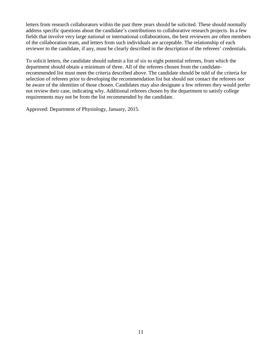letters from research collaborators within the past three years should be solicited. These should normally address specific questions about the candidate's contributions to collaborative research projects. In a few fields that involve very large national or international collaborations, the best reviewers are often members of the collaboration team, and letters from such individuals are acceptable. The relationship of each reviewer to the candidate, if any, must be clearly described in the description of the referees' credentials.

To solicit letters, the candidate should submit a list of six to eight potential referees, from which the department should obtain a minimum of three. All of the referees chosen from the candidaterecommended list must meet the criteria described above. The candidate should be told of the criteria for selection of referees prior to developing the recommendation list but should not contact the referees nor be aware of the identities of those chosen. Candidates may also designate a few referees they would prefer not review their case, indicating why. Additional referees chosen by the department to satisfy college requirements may not be from the list recommended by the candidate.

Approved: Department of Physiology, January, 2015.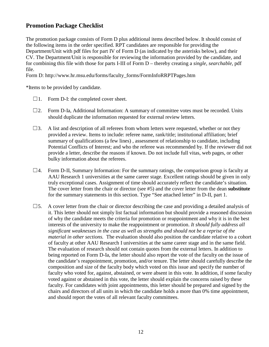#### **Promotion Package Checklist**

The promotion package consists of Form D plus additional items described below. It should consist of the following items in the order specified. RPT candidates are responsible for providing the Department/Unit with pdf files for part IV of Form D (as indicated by the asterisks below), and their CV. The Department/Unit is responsible for reviewing the information provided by the candidate, and for combining this file with those for parts I-III of Form D – thereby creating a *single, searchable,* pdf file.

Form D: http://www.hr.msu.edu/forms/faculty\_forms/FormInfoRRPTPages.htm

\*Items to be provided by candidate.

- $\Box$ 1. Form D-I: the completed cover sheet.
- $\square$ 2. Form D-Ia, Additional Information: A summary of committee votes must be recorded. Units should duplicate the information requested for external review letters.
- $\square$ 3. A list and description of all referees from whom letters were requested, whether or not they provided a review. Items to include: referee name, rank/title; institutional affiliation; brief summary of qualifications (a few lines) , assessment of relationship to candidate, including Potential Conflicts of Interest; and who the referee was recommended by. If the reviewer did not provide a letter, describe the reasons if known. Do not include full vitas, web pages, or other bulky information about the referees.
- $\Box$ 4. Form D-II, Summary Information: For the summary ratings, the comparison group is faculty at AAU Research 1 universities at the same career stage. Excellent ratings should be given in only truly exceptional cases. Assignment of time should accurately reflect the candidate's situation. The cover letter from the chair or director (see #5) and the cover letter from the dean **substitute**  for the summary statements in this section. Type "See attached letter" in D-II, part 1.
- $\square$ 5. A cover letter from the chair or director describing the case and providing a detailed analysis of it. This letter should not simply list factual information but should provide a reasoned discussion of why the candidate meets the criteria for promotion or reappointment and why it is in the best interests of the university to make the reappointment or promotion. *It should fully address all significant weaknesses in the case as well as strengths and should not be a reprise of the material in other sections.* The evaluation should also position the candidate relative to a cohort of faculty at other AAU Research I universities at the same career stage and in the same field. The evaluation of research should not contain quotes from the external letters. In addition to being reported on Form D-Ia, the letter should also report the vote of the faculty on the issue of the candidate's reappointment, promotion, and/or tenure. The letter should carefully describe the composition and size of the faculty body which voted on this issue and specify the number of faculty who voted for, against, abstained, or were absent in this vote. In addition, if some faculty voted against or abstained in this vote, the letter should explain the concerns raised by these faculty. For candidates with joint appointments, this letter should be prepared and signed by the chairs and directors of all units in which the candidate holds a more than 0% time appointment, and should report the votes of all relevant faculty committees.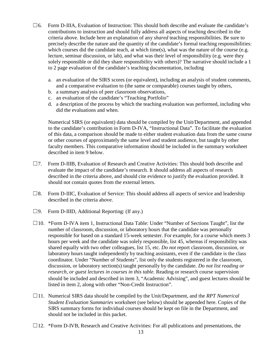- $\square$ 6. Form D-IIIA, Evaluation of Instruction: This should both describe and evaluate the candidate's contributions to instruction and should fully address all aspects of teaching described in the criteria above. Include here an explanation of any *shared* teaching responsibilities. Be sure to precisely describe the nature and the quantity of the candidate's formal teaching responsibilities: which courses did the candidate teach, at which time(s), what was the nature of the course (e.g. lecture, seminar discussion, or lab), and what was their level of responsibility (e.g. were they solely responsible or did they share responsibility with others)? The narrative should include a 1 to 2 page evaluation of the candidate's teaching documentation, including
	- a. an evaluation of the SIRS scores (or equivalent), including an analysis of student comments, and a comparative evaluation to (the same or comparable) courses taught by others,
	- b. a summary analysis of peer classroom observations,
	- c. an evaluation of the candidate's "Teaching Portfolio"
	- d. a description of the process by which the teaching evaluation was performed, including who did the evaluations and when.

Numerical SIRS (or equivalent) data should be compiled by the Unit/Department, and appended to the candidate's contribution in Form D-IVA, "Instructional Data". To facilitate the evaluation of this data, a comparison should be made to either student evaluation data from the same course or other courses of approximately the same level and student audience, but taught by other faculty members. This comparative information should be included in the summary worksheet described in item 9 below.

- ☐7. Form D-IIIB, Evaluation of Research and Creative Activities: This should both describe and evaluate the impact of the candidate's research. It should address all aspects of research described in the criteria above, and should cite evidence to justify the evaluation provided. It should not contain quotes from the external letters.
- $\square$ 8. Form D-IIIC, Evaluation of Service: This should address all aspects of service and leadership described in the criteria above.
- $\square$ 9. Form D-IIID, Additional Reporting: (If any.)
- ☐10. \*Form D-IVA item 1, Instructional Data Table: Under "Number of Sections Taught", list the number of classroom, discussion, or laboratory hours that the candidate was personally responsible for based on a standard 15-week semester. For example, for a course which meets 3 hours per week and the candidate was solely responsible, list 45, whereas if responsibility was shared equally with two other colleagues, list 15, etc. *Do not* report classroom, discussion, or laboratory hours taught independently by teaching assistants, even if the candidate is the class coordinator*.* Under "Number of Students", list only the students registered in the classroom, discussion, or laboratory section(s) taught personally by the candidate. *Do not list reading or research, or guest lectures in courses in this table.* Reading or research course supervision should be included and described in item 3, "Academic Advising", and guest lectures should be listed in item 2, along with other "Non-Credit Instruction".
- ☐11. Numerical SIRS data should be compiled by the Unit/Department, and the *RPT Numerical Student Evaluation Summaries* worksheet (see below) should be appended here. Copies of the SIRS summary forms for individual courses should be kept on file in the Department, and should not be included in this packet.
- $\Box$ 12. \*Form D-IVB, Research and Creative Activities: For all publications and presentations, the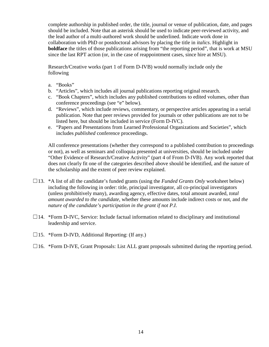complete authorship in published order, the title, journal or venue of publication, date, and pages should be included. Note that an asterisk should be used to indicate peer-reviewed activity, and the lead author of a multi-authored work should be underlined. Indicate work done in collaboration with PhD or postdoctoral advisors by placing the title in *italics*. Highlight in **boldface** the titles of those publications arising from "the reporting period", that is work at MSU since the last RPT action (or, in the case of reappointment cases, since hire at MSU).

Research/Creative works (part 1 of Form D-IVB) would normally include only the following

- a. "Books"
- b. "Articles", which includes all journal publications reporting original research.
- c. "Book Chapters", which includes any published contributions to edited volumes, other than conference proceedings (see "e" below).
- d. "Reviews", which include reviews, commentary, or perspective articles appearing in a serial publication. Note that peer reviews provided for journals or other publications are not to be listed here, but should be included in service (Form D-IVC).
- e. "Papers and Presentations from Learned Professional Organizations and Societies", which includes *published* conference proceedings.

All conference presentations (whether they correspond to a published contribution to proceedings or not), as well as seminars and colloquia presented at universities, should be included under "Other Evidence of Research/Creative Activity" (part 4 of From D-IVB). Any work reported that does not clearly fit one of the categories described above should be identified, and the nature of the scholarship and the extent of peer review explained.

- ☐13. \*A list of all the candidate's funded grants (using the *Funded Grants Only* worksheet below) including the following in order: title, principal investigator, all co-principal investigators (unless prohibitively many), awarding agency, effective dates, total amount awarded, *total amount awarded to the candidate*, whether these amounts include indirect costs or not, and *the nature of the candidate's participation in the grant if not P.I*.
- $\Box$ 14. \*Form D-IVC, Service: Include factual information related to disciplinary and institutional leadership and service.
- $\Box$ 15. \*Form D-IVD, Additional Reporting: (If any.)
- $\Box$ 16. \*Form D-IVE, Grant Proposals: List ALL grant proposals submitted during the reporting period.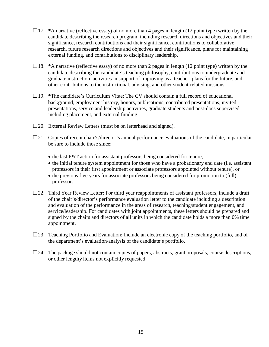- $\Box$ 17. \*A narrative (reflective essay) of no more than 4 pages in length (12 point type) written by the candidate describing the research program, including research directions and objectives and their significance, research contributions and their significance, contributions to collaborative research, future research directions and objectives and their significance, plans for maintaining external funding, and contributions to disciplinary leadership.
- $\Box$ 18. \*A narrative (reflective essay) of no more than 2 pages in length (12 point type) written by the candidate describing the candidate's teaching philosophy, contributions to undergraduate and graduate instruction, activities in support of improving as a teacher, plans for the future, and other contributions to the instructional, advising, and other student-related missions.
- $\Box$ 19. \*The candidate's Curriculum Vitae: The CV should contain a full record of educational background, employment history, honors, publications, contributed presentations, invited presentations, service and leadership activities, graduate students and post-docs supervised including placement, and external funding.
- $\square$ 20. External Review Letters (must be on letterhead and signed).
- $\square$ 21. Copies of recent chair's/director's annual performance evaluations of the candidate, in particular be sure to include those since:
	- the last P&T action for assistant professors being considered for tenure,
	- the initial tenure system appointment for those who have a probationary end date (i.e. assistant professors in their first appointment or associate professors appointed without tenure), or
	- the previous five years for associate professors being considered for promotion to (full) professor.
- $\square$ 22. Third Year Review Letter: For third year reappointments of assistant professors, include a draft of the chair's/director's performance evaluation letter to the candidate including a description and evaluation of the performance in the areas of research, teaching/student engagement, and service/leadership. For candidates with joint appointments, these letters should be prepared and signed by the chairs and directors of all units in which the candidate holds a more than 0% time appointment.
- $\square$ 23. Teaching Portfolio and Evaluation: Include an electronic copy of the teaching portfolio, and of the department's evaluation/analysis of the candidate's portfolio.
- $\square$ 24. The package should not contain copies of papers, abstracts, grant proposals, course descriptions, or other lengthy items not explicitly requested.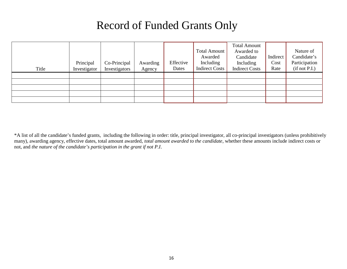# Record of Funded Grants Only

| Title | Principal<br>Investigator | Co-Principal<br>Investigators | Awarding<br>Agency | Effective<br>Dates | <b>Total Amount</b><br>Awarded<br>Including<br><b>Indirect Costs</b> | <b>Total Amount</b><br>Awarded to<br>Candidate<br>Including<br><b>Indirect Costs</b> | Indirect<br>Cost<br>Rate | Nature of<br>Candidate's<br>Participation<br>(if not P.I.) |
|-------|---------------------------|-------------------------------|--------------------|--------------------|----------------------------------------------------------------------|--------------------------------------------------------------------------------------|--------------------------|------------------------------------------------------------|
|       |                           |                               |                    |                    |                                                                      |                                                                                      |                          |                                                            |
|       |                           |                               |                    |                    |                                                                      |                                                                                      |                          |                                                            |
|       |                           |                               |                    |                    |                                                                      |                                                                                      |                          |                                                            |
|       |                           |                               |                    |                    |                                                                      |                                                                                      |                          |                                                            |
|       |                           |                               |                    |                    |                                                                      |                                                                                      |                          |                                                            |

\*A list of all the candidate's funded grants, including the following in order: title, principal investigator, all co-principal investigators (unless prohibitively many), awarding agency, effective dates, total amount awarded, *total amount awarded to the candidate*, whether these amounts include indirect costs or not, and *the nature of the candidate's participation in the grant if not P.I*.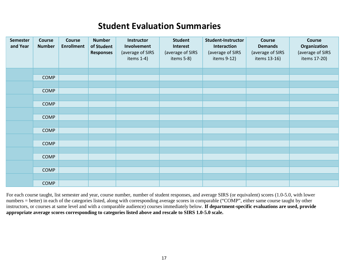# **Student Evaluation Summaries**

| <b>Semester</b><br>and Year | Course<br><b>Number</b> | Course<br><b>Enrollment</b> | <b>Number</b><br>of Student<br><b>Responses</b> | Instructor<br>Involvement<br>(average of SIRS<br>items $1-4$ ) | <b>Student</b><br>Interest<br>(average of SIRS<br>items 5-8) | <b>Student-Instructor</b><br>Interaction<br>(average of SIRS<br>items 9-12) | Course<br><b>Demands</b><br>(average of SIRS<br>items 13-16) | Course<br>Organization<br>(average of SIRS<br>items 17-20) |
|-----------------------------|-------------------------|-----------------------------|-------------------------------------------------|----------------------------------------------------------------|--------------------------------------------------------------|-----------------------------------------------------------------------------|--------------------------------------------------------------|------------------------------------------------------------|
|                             |                         |                             |                                                 |                                                                |                                                              |                                                                             |                                                              |                                                            |
|                             | <b>COMP</b>             |                             |                                                 |                                                                |                                                              |                                                                             |                                                              |                                                            |
|                             |                         |                             |                                                 |                                                                |                                                              |                                                                             |                                                              |                                                            |
|                             | <b>COMP</b>             |                             |                                                 |                                                                |                                                              |                                                                             |                                                              |                                                            |
|                             |                         |                             |                                                 |                                                                |                                                              |                                                                             |                                                              |                                                            |
|                             | <b>COMP</b>             |                             |                                                 |                                                                |                                                              |                                                                             |                                                              |                                                            |
|                             |                         |                             |                                                 |                                                                |                                                              |                                                                             |                                                              |                                                            |
|                             | <b>COMP</b>             |                             |                                                 |                                                                |                                                              |                                                                             |                                                              |                                                            |
|                             |                         |                             |                                                 |                                                                |                                                              |                                                                             |                                                              |                                                            |
|                             | <b>COMP</b>             |                             |                                                 |                                                                |                                                              |                                                                             |                                                              |                                                            |
|                             |                         |                             |                                                 |                                                                |                                                              |                                                                             |                                                              |                                                            |
|                             | <b>COMP</b>             |                             |                                                 |                                                                |                                                              |                                                                             |                                                              |                                                            |
|                             |                         |                             |                                                 |                                                                |                                                              |                                                                             |                                                              |                                                            |
|                             | <b>COMP</b>             |                             |                                                 |                                                                |                                                              |                                                                             |                                                              |                                                            |
|                             |                         |                             |                                                 |                                                                |                                                              |                                                                             |                                                              |                                                            |
|                             | <b>COMP</b>             |                             |                                                 |                                                                |                                                              |                                                                             |                                                              |                                                            |
|                             |                         |                             |                                                 |                                                                |                                                              |                                                                             |                                                              |                                                            |
|                             | <b>COMP</b>             |                             |                                                 |                                                                |                                                              |                                                                             |                                                              |                                                            |

For each course taught, list semester and year, course number, number of student responses, and average SIRS (or equivalent) scores (1.0-5.0, with lower numbers = better) in each of the categories listed, along with corresponding average scores in comparable ("COMP", either same course taught by other instructors, or courses at same level and with a comparable audience) courses immediately below. **If department-specific evaluations are used, provide appropriate average scores corresponding to categories listed above and rescale to SIRS 1.0-5.0 scale.**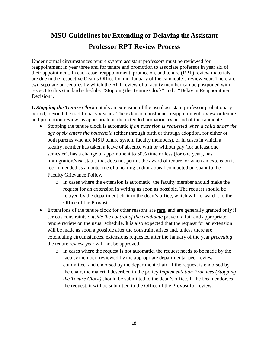## **MSU Guidelines for Extending or Delaying the Assistant Professor RPT Review Process**

Under normal circumstances tenure system assistant professors must be reviewed for reappointment in year three and for tenure and promotion to associate professor in year six of their appointment. In each case, reappointment, promotion, and tenure (RPT) review materials are due in the respective Dean's Office by mid-January of the candidate's review year. There are two separate procedures by which the RPT review of a faculty member can be postponed with respect to this standard schedule: "Stopping the Tenure Clock" and a "Delay in Reappointment Decision".

**I.** *Stopping the Tenure Clock* entails an extension of the usual assistant professor probationary period, beyond the traditional six years. The extension postpones reappointment review or tenure and promotion review, as appropriate in the extended probationary period of the candidate.

- Stopping the tenure clock is automatic *if an extension is requested when a child under the age of six enters the household* (either through birth or through adoption, for either or both parents who are MSU tenure system faculty members), or in cases in which a faculty member has taken a leave of absence with or without pay (for at least one semester), has a change of appointment to 50% time or less (for one year), has immigration/visa status that does not permit the award of tenure, or when an extension is recommended as an outcome of a hearing and/or appeal conducted pursuant to the Faculty Grievance Policy.
	- o In cases where the extension is automatic, the faculty member should make the request for an extension in writing as soon as possible. The request should be relayed by the department chair to the dean's office, which will forward it to the Office of the Provost.
- Extensions of the tenure clock for other reasons are rare, and are generally granted only if serious constraints *outside the control of the candidate* prevent a fair and appropriate tenure review on the usual schedule. It is also expected that the request for an extension will be made as soon a possible after the constraint arises and, unless there are extenuating circumstances, extensions requested after the January of the year *preceding* the tenure review year will not be approved.
	- o In cases where the request is not automatic, the request needs to be made by the faculty member, reviewed by the appropriate departmental peer review committee, and endorsed by the department chair. If the request is endorsed by the chair, the material described in the policy *[Implementation Practices](http://www.hr.msu.edu/documents/facacadhandbooks/facultyhandbook/implementation.htm) (Stopping [the Tenure](http://www.hr.msu.edu/documents/facacadhandbooks/facultyhandbook/implementation.htm) Clock)* should be submitted to the dean's office. If the Dean endorses the request, it will be submitted to the Office of the Provost for review.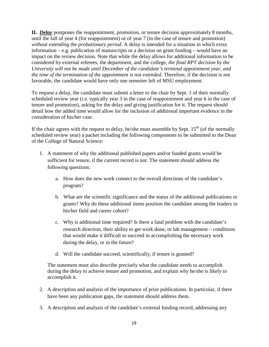**II.** *Delay* postpones the reappointment, promotion, or tenure decision approximately 8 months, until the fall of year 4 (for reappointment) or of year 7 (in the case of tenure and promotion) *without extending the probationary period*. A delay is intended for a situation in which extra information – e.g. publication of manuscripts or a decision on grant funding – would have an impact on the review decision. Note that while the delay allows for additional information to be considered by external referees, the department, and the college, *the final RPT decision by the University will not be made until December of the candidate's terminal appointment year, and the time of the termination of the appointment is not extended*. Therefore, if the decision is not favorable, the candidate would have only one semester left of MSU employment.

To request a delay, the candidate must submit a letter to the chair by Sept. 1 of their normally scheduled review year (*i.e.* typically year 3 in the case of reappointment and year 6 in the case of tenure and promotion), asking for the delay and giving justification for it. The request should detail how the added time would allow for the inclusion of additional important evidence in the consideration of his/her case.

If the chair agrees with the request to delay, he/she must assemble by Sept.  $15<sup>th</sup>$  (of the normally scheduled review year) a packet including the following components to be submitted to the Dean of the College of Natural Science:

- 1. A statement of why the additional published papers and/or funded grants would be sufficient for tenure, if the current record is not. The statement should address the following questions:
	- a. How does the new work connect to the overall directions of the candidate's program?
	- b. What are the scientific significance and the status of the additional publications or grants? Why do these additional items position the candidate among the leaders in his/her field and career cohort?
	- c. Why is additional time required? Is there a fatal problem with the candidate's research direction, their ability to get work done, or lab management – conditions that would make it difficult to succeed in accomplishing the necessary work during the delay, or in the future?
	- d. Will the candidate succeed, scientifically, if tenure is granted?

The statement must also describe precisely what the candidate needs to accomplish during the delay to achieve tenure and promotion, and explain why he/she is likely to accomplish it.

- 2. A description and analysis of the importance of prior publications. In particular, if there have been any publication gaps, the statement should address them.
- 3. A description and analysis of the candidate's external funding record, addressing any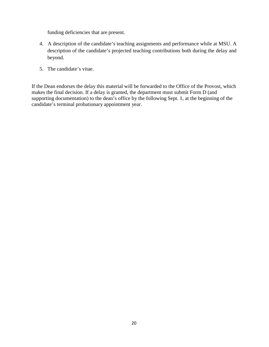funding deficiencies that are present.

- 4. A description of the candidate's teaching assignments and performance while at MSU. A description of the candidate's projected teaching contributions both during the delay and beyond.
- 5. The candidate's vitae.

If the Dean endorses the delay this material will be forwarded to the Office of the Provost, which makes the final decision. If a delay is granted, the department must submit Form D (and supporting documentation) to the dean's office by the following Sept. 1, at the beginning of the candidate's terminal probationary appointment year.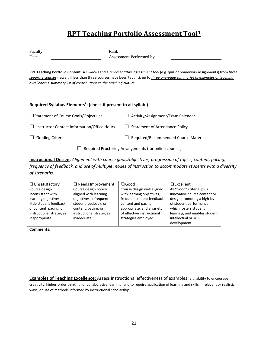## **RPT Teaching Portfolio Assessment Tool1**

| Faculty                                                                                                                                                                                                                                                                              | Rank                                                                                                 |  |  |  |  |
|--------------------------------------------------------------------------------------------------------------------------------------------------------------------------------------------------------------------------------------------------------------------------------------|------------------------------------------------------------------------------------------------------|--|--|--|--|
| Date                                                                                                                                                                                                                                                                                 | Assessment Performed by                                                                              |  |  |  |  |
| RPT Teaching Portfolio Content: A <i>syllabus</i> and a <i>representative assessment tool</i> (e.g. quiz or homework assignments) from three<br>separate courses (fewer, if less than three courses have been taught); up to <i>three one-page summaries of examples of teaching</i> |                                                                                                      |  |  |  |  |
| excellence; a summary list of contributions to the teaching culture.                                                                                                                                                                                                                 |                                                                                                      |  |  |  |  |
|                                                                                                                                                                                                                                                                                      |                                                                                                      |  |  |  |  |
|                                                                                                                                                                                                                                                                                      |                                                                                                      |  |  |  |  |
| Required Syllabus Elements <sup>2</sup> : (check if present in all syllabi)                                                                                                                                                                                                          |                                                                                                      |  |  |  |  |
| □ Statement of Course Goals/Objectives                                                                                                                                                                                                                                               | Activity/Assignment/Exam Calendar                                                                    |  |  |  |  |
| Instructor Contact Information/Office Hours                                                                                                                                                                                                                                          | <b>Statement of Attendance Policy</b>                                                                |  |  |  |  |
| <b>Grading Criteria</b>                                                                                                                                                                                                                                                              | Required/Recommended Course Materials                                                                |  |  |  |  |
| Required Proctoring Arrangements (for online courses)                                                                                                                                                                                                                                |                                                                                                      |  |  |  |  |
|                                                                                                                                                                                                                                                                                      | Instructional Design: Alianment with course goals/objectives, progression of topics, content, pasing |  |  |  |  |

**Instructional Design:** *Alignment with course goals/objectives, progression of topics, content, pacing, frequency of feedback, and use of multiple modes of instruction to accommodate students with a diversity of strengths.* 

| $\Box$ Unsatisfactory    | □ Needs Improvement      | $\square$ Good             | $\Box$ Excellent                                       |
|--------------------------|--------------------------|----------------------------|--------------------------------------------------------|
| Course design            | Course design poorly     | Course design well aligned | All "Good" criteria, plus                              |
| inconsistent with        | aligned with learning    | with learning objectives,  | innovative course content or                           |
| learning objectives,     | objectives, infrequent   | frequent student feedback, | design promoting a high level                          |
| little student feedback, | student feedback, or     | content and pacing         | of student performance,                                |
| or content, pacing, or   | content, pacing, or      | appropriate, and a variety | which fosters student                                  |
| instructional strategies | instructional strategies | of effective instructional | learning, and enables student<br>intellectual or skill |
| inappropriate.           | inadequate.              | strategies employed.       | development.                                           |
|                          |                          |                            |                                                        |
| Comments:                |                          |                            |                                                        |
|                          |                          |                            |                                                        |
|                          |                          |                            |                                                        |
|                          |                          |                            |                                                        |
|                          |                          |                            |                                                        |
|                          |                          |                            |                                                        |
|                          |                          |                            |                                                        |
|                          |                          |                            |                                                        |

**Examples of Teaching Excellence:** Assess instructional effectiveness of examples, e.g. ability to encourage creativity, higher-order thinking, or collaborative learning, and to require application of learning and skills in relevant or realistic ways, or use of methods informed by instructional scholarship.